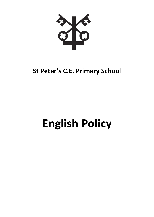# **St Peter's C.E. Primary School**

# **English Policy**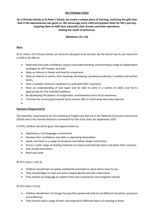# **Our Christian Vision**

**As a Christian family at St Peter's School, we create a unique place of learning, nurturing the gifts that God in His awesomeness has given us. We encourage every child and prepare them for life's journey, inspiring them to fulfil their potential, their dreams and their aspirations. Sowing the seeds of tomorrow.**

# **(Matthew 13:1-23)**

#### **Aims**

At St. Peter's CE Primary School, we strive for all pupils to be literate. By the end of Year 6, we intend for a child to be able to:

- Read and write with confidence, fluency and understanding, orchestrating a range of independent strategies to self-monitor and edit.
- Have an interest in books and read for enjoyment.
- Have an interest in words, their meaning, developing a growing vocabulary in spoken and written forms.
- Have a suitable technical vocabulary to articulate their responses.
- Have an understanding of text types and be able to write in a variety of styles and forms appropriate for the intended audience.
- Be developing the powers of imagination, inventiveness and critical awareness.
- To know the correct grammatical terms and be able to recall what they have learned.
- $\bullet$

# **Statutory Requirements**

The statutory requirements for the teaching of English are laid out in the National Curriculum Document (2014) and in the revised Statutory Framework for the Early Years for September 2019.

In EYFS, children should be given the opportunities to:

- Experience a rich language environment
- Develop their confidence and skills in expressing themselves
- Speak and listen in a range of situations and follow simple instructions
- Access a wide range of reading materials to inspire and motivate them and ignite their interests.
- Link sounds and letters
- Read and write

At KS1 (Years 1 and 2):

- Children should learn to speak confidently and listen to what others have to say.
- They should begin to read and write independently and with enthusiasm.
- They should use language to explore their own experiences and imaginary worlds.

At KS2 (Years 3 to 6):

- Children should learn to change the way they speak and write to suit different situations, purposes and audiences.
- They should read a range of texts and respond to different layers of meaning in them.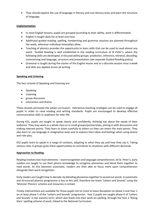They should explore the use of language in literary and non-literary texts and learn the structure of language.

# **Implementation**

- In most English lessons, pupils are grouped according to their ability, work is differentiated.
- English is taught daily for at least one hour.
- Additional guided reading, spelling, handwriting and grammar sessions are planned throughout the week, wherever individual timetables allow.
- Teaching of phonics provides the opportunity to learn skills that can be used to read almost any word. Guided Reading is well established in the reading curriculum at St Peter's, where the following skills are developed, in focused ability groups: prediction, inference, retrieval, decoding, summarising and language, structure and presentation (see separate Guided Reading policy).
- Grammar is taught during the starter of the English lesson and as a discrete session once a week and skills are applied across all writing.

# **Speaking and Listening**

The four strands of Speaking and listening are:

- Speaking
- Listening
- group discussion
- interaction and drama

These strands permeate the whole curriculum. Interactive teaching strategies can be used to engage all pupils in order to raise reading and writing standards. Pupils are encouraged to develop effective communication skills in readiness for later life.

During KS1, pupils are taught to speak clearly and confidently, thinking too about the needs of their audience. They may work as a whole class or in small groups/partnerships, joining in with discussions and making relevant points. They learn to listen carefully to others so they can retain the main points. They also learn to use language in imaginative ways and to express their ideas and feelings when using drama and role-play.

KS2 pupils learn to speak in a range of contexts, adapting to what they say and how they say it. Taking various roles in groups gives them opportunities to contribute to situations with different demands.

# **Approaches to Reading**

Reading involves two main elements – word recognition and language comprehension. At St. Peter's, early readers are taught to use their phonic knowledge to recognise phonemes and blend them together to read words. As this becomes automatic, readers are then able to focus more upon comprehension alongside their word recognition.

Early readers are taught how to decode, by blending phonemes together to sound out words. A systematic and structured phonics programme is key to this skill, therefore we teach 'Letters and Sounds' using the 'Monster Phonics' scheme and resources in school.

Timely interventions are available for those pupils not on track to leave Reception on phase 3 and Year 1 on at least phase 5 of the 'Letters and Sounds' programme. Year 2 pupils are taught phase 6 of 'Letters and Sounds' in the autumn term, which also feeds into their work on spelling, through the Year 2 'Rising Stars' spelling scheme of work, linked to the National Curriculum.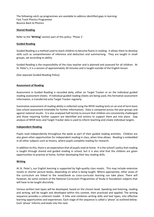The following catch up programmes are available to address identified gaps in learning: Fast Track Phonics Programme Bounce Back to Phonics

#### **Shared Reading**

Refer to the **'Writing'** section part of this policy: 'Phase 1'.

#### **Guided Reading**

Guided Reading is a method used to teach children to become fluent in reading. It allows them to develop skills such as comprehension of inference and deduction and summarising. They are taught in small groups, set according to ability.

Guided Reading is the responsibility of the class teacher and is planned and assessed for all children. At St. Peter's, it is a session of approximately 30 minutes and is taught outside of the English lesson.

(See separate Guided Reading Policy)

### **Assessment of Reading**

Assessment in Guided Reading is recorded daily, either on Target Tracker or on the individual guided reading assessment sheets. If individual guided reading sheets are being used, this formative assessment information, is transferred onto Target Tracker regularly.

Summative assessment of reading ability is collected using the NFER reading tests on an end of term basis (see school assessment timetable for further information). Data is compared across the year groups and against national results. It is also analysed half-termly to ensure that children are consistently challenged and those requiring further support are identified and actions to support them put into place. Gap analysis of NFER tests and Target Tracker data is used to inform teaching and create individual targets.

#### **Independent Reading**

Pupils read independently throughout the week as part of their guided reading activities. Children are also given other opportunities for independent reading in class, when time allows. Reading is embedded in all other subjects such as history, where pupils complete reading for research.

In addition to this, there is an expectation that all pupils read at home. It is the school's policy that reading is taught through shared and guided reading in school, but it is also vital that the children are given opportunities to practise at home, further developing their key reading skills.

#### **Writing**

At St. Peter's, our English learning is supported by high-quality class novels. This may include extensive novels or shorter picture books, depending on what is being taught. Where appropriate, other areas of the curriculum are linked to the novel/book so cross-curricular learning can take place. There will however, be some content of the National Curriculum Programmes of Study in foundation subjects that will have to be taught discretely.

Various written text types will be developed, based on the chosen book. Speaking and listening, reading and writing, will be taught and developed within this context, then practiced and applied. The writing sequence provides a coherent model. It links and combines writing skills and text types, into effective learning opportunities and experiences. Each stage of the sequence is called a 'phase' as outlined below. Each 'phase' informs and leads into the next.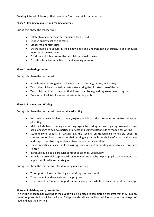**Creating interest:** A lesson/s that provides a 'hook' and kick-starts the unit.

### **Phase 1: Reading response and reading analysis**

During this phase the teacher will:

- Establish a clear purpose and audience for the text
- Choose quality challenging texts
- Model reading strategies
- Ensure pupils are secure in their knowledge and understanding of structure and language features of the text type
- Prioritise which features of the text children need to learn
- Provide interactive activities to meet learning intentions.

### **Phase 2: Gathering content**

During this phase the teacher will:

- Provide stimulus for gathering ideas e.g. visual literacy, drama, technology
- Teach the children how to innovate a story using the plot structure of the text
- Teach children how to map out their ideas on a plan e.g. writing skeleton or story map
- Draw up a checklist of success criteria with the pupils.

### **Phase 3: Planning and Writing**

During this phase the teacher will develop **shared** writing:

- Work with the whole class to model, explore and discuss the choices writers make at the point of writing
- Make links between reading and writing explicit by reading and investigating how writers have used language to achieve particular effects and using written texts as models for writing
- Scaffold some aspects of writing e.g. the spelling an transcribing to enable pupils to concentrate on how to compose their writing e.g. through the choice of words and phrases and ways of constructing sentences to achieve a particular effect
- Focus on particular aspects of the writing process whilst supporting others to plan, draft and re-draft
- Introduce pupils to a particular concept or technical vocabulary
- Provide an essential step towards independent writing by helping pupils to understand and apply specific skills and strategies.

During this phase the teacher will also develop **guided** writing:

- To support children in planning and drafting their own work
- To revise, edit and evaluate work in progress
- To provide differentiated support for particular groups whether this be support or challenge.

# **Phase 4: Publishing and presentation**

This will be linked to handwriting as the pupils will be expected to complete a final draft that they 'publish' therefore presentation will be the focus. This phase also allows pupils an additional opportunity to proofread and edit their writing.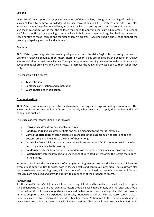# **Spelling**

At St. Peter's, we support our pupils to become confident spellers, through the teaching of spelling. It allows children to embrace knowledge of spelling conventions and their patterns and rules. We also integrate the teaching of other spellings, including spelling of statutory and common exception words and also technical/topical words that the children may need to apply in other curriculum areas. As a school, we follow the Rising Stars spelling scheme, where in-built assessment and regular check-ups allow our teaching staff to recap learning and monitor children's progress. Spelling Shed is also used to support the teaching of spelling in school and at home.

# **Grammar**

At St. Peter's, we integrate the teaching of grammar into the daily English lesson, using the Nelson Grammar Teaching Scheme. Then, these discretely taught skills are applied by the children in English lessons and all other written activities. Through our grammar teaching, we aim to make pupils aware of key grammatical principles and their effects, to increase the range of choices open to them when they write.

The children will be taught:

- Text cohesion
- Sentence construction and punctuation
- Word choice and modification

### **Emergent Writing**

At St. Peter's, we value every mark the pupils make in, the very early stages of writing development. This allows pupils to become confident 'writers', especially when they start to apply their understanding of phonics and spelling.

The stages of emergent writing are as follows:

- **Drawing:** children draw and scribble pictures
- **Random scribbling:** children scribble and assign meaning to the marks they make
- **Controlled scribbling:** children scribble in rows across the page from left to right and top to bottom, assigning meaning to the lines of their writing
- **Letter-like forms:** children use unconventional letter forms and familiar symbols such as circles and assign meaning to this writing
- **Random letters:** children begin to use random conventional letter shapes to convey meaning
- **Patterned letters:** children begin to use strings of unrelated letters, often the letters that appear in their name.

In order to facilitate the development of emergent writing, we ensure that the Reception children are given lots of opportunities to write, both in focused tasks and continuous provision. The classroom also has a well-resourced writing area, with a variety of paper and writing utensils. Letters and Sounds resources are displayed and provide pupils with a reminder of the graphemes taught.

#### **Handwriting**

It is the aim of St. Peter's CE Primary School, that every child should be enabled to develop a fluent legible style of handwriting. Capital and lower case letters should be used appropriately and the letter size should be consistent. We will provide opportunities for children to develop, practise and perfect skills and provide targeted support to any child experiencing difficulty. Handwriting will be a discrete lesson taught at least three times a week for sessions of 15 minutes. Teachers model Nelson font to the children, and explicitly teach letter formation and joins in each of these sessions. Children will practise their handwriting in